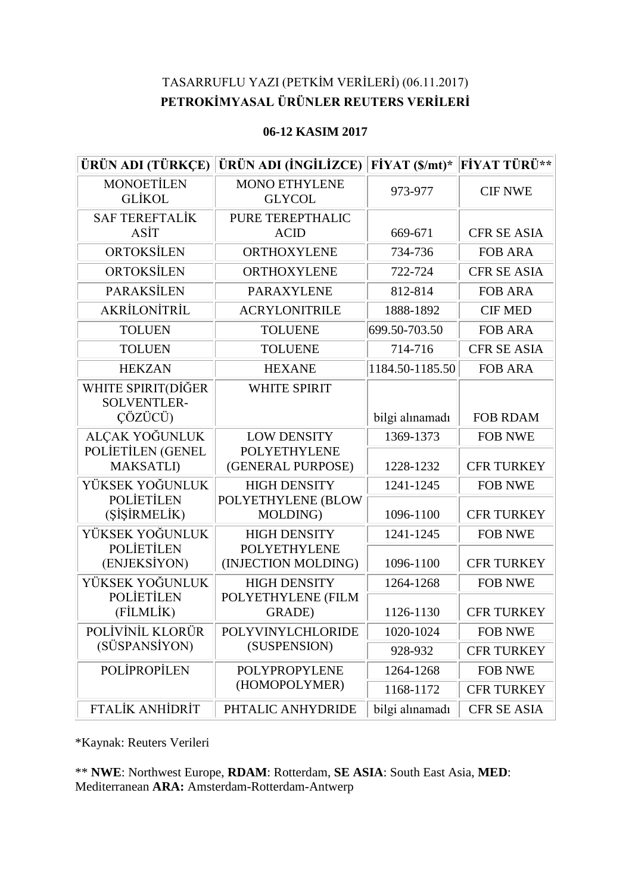## TASARRUFLU YAZI (PETKİM VERİLERİ) (06.11.2017) **PETROKİMYASAL ÜRÜNLER REUTERS VERİLERİ**

## **06-12 KASIM 2017**

| ÜRÜN ADI (TÜRKÇE)                                   | ÜRÜN ADI (İNGİLİZCE)                       | $\angle$ FİYAT (\$/mt)* | <b>FİYAT TÜRÜ**</b> |
|-----------------------------------------------------|--------------------------------------------|-------------------------|---------------------|
| <b>MONOETİLEN</b><br><b>GLIKOL</b>                  | <b>MONO ETHYLENE</b><br><b>GLYCOL</b>      | 973-977                 | <b>CIF NWE</b>      |
| <b>SAF TEREFTALİK</b><br>ASİT                       | <b>PURE TEREPTHALIC</b><br><b>ACID</b>     | 669-671                 | <b>CFR SE ASIA</b>  |
| ORTOKSİLEN                                          | <b>ORTHOXYLENE</b>                         | 734-736                 | <b>FOB ARA</b>      |
| ORTOKSİLEN                                          | ORTHOXYLENE                                | 722-724                 | <b>CFR SE ASIA</b>  |
| <b>PARAKSİLEN</b>                                   | <b>PARAXYLENE</b>                          | 812-814                 | <b>FOB ARA</b>      |
| AKRİLONİTRİL                                        | <b>ACRYLONITRILE</b>                       | 1888-1892               | <b>CIF MED</b>      |
| <b>TOLUEN</b>                                       | <b>TOLUENE</b>                             | 699.50-703.50           | <b>FOB ARA</b>      |
| <b>TOLUEN</b>                                       | <b>TOLUENE</b>                             | 714-716                 | <b>CFR SE ASIA</b>  |
| <b>HEKZAN</b>                                       | <b>HEXANE</b>                              | 1184.50-1185.50         | <b>FOB ARA</b>      |
| WHITE SPIRIT(DİĞER<br><b>SOLVENTLER-</b><br>ÇÖZÜCÜ) | <b>WHITE SPIRIT</b>                        | bilgi alınamadı         | <b>FOB RDAM</b>     |
| ALÇAK YOĞUNLUK                                      | <b>LOW DENSITY</b>                         | 1369-1373               | <b>FOB NWE</b>      |
| POLIETILEN (GENEL<br><b>MAKSATLI</b> )              | <b>POLYETHYLENE</b><br>(GENERAL PURPOSE)   | 1228-1232               | <b>CFR TURKEY</b>   |
| YÜKSEK YOĞUNLUK                                     | <b>HIGH DENSITY</b>                        | 1241-1245               | <b>FOB NWE</b>      |
| <b>POLIETILEN</b><br>(SİŞİRMELİK)                   | POLYETHYLENE (BLOW<br>MOLDING)             | 1096-1100               | <b>CFR TURKEY</b>   |
| YÜKSEK YOĞUNLUK                                     | <b>HIGH DENSITY</b>                        | 1241-1245               | <b>FOB NWE</b>      |
| <b>POLIETILEN</b><br>(ENJEKSİYON)                   | <b>POLYETHYLENE</b><br>(INJECTION MOLDING) | 1096-1100               | <b>CFR TURKEY</b>   |
| YÜKSEK YOĞUNLUK                                     | <b>HIGH DENSITY</b>                        | 1264-1268               | <b>FOB NWE</b>      |
| <b>POLIETILEN</b><br>(FİLMLİK)                      | POLYETHYLENE (FILM<br>GRADE)               | 1126-1130               | <b>CFR TURKEY</b>   |
| POLİVİNİL KLORÜR                                    | POLYVINYLCHLORIDE                          | 1020-1024               | <b>FOB NWE</b>      |
| (SÜSPANSİYON)                                       | (SUSPENSION)                               | 928-932                 | <b>CFR TURKEY</b>   |
| <b>POLIPROPILEN</b>                                 | POLYPROPYLENE<br>(HOMOPOLYMER)             | 1264-1268               | <b>FOB NWE</b>      |
|                                                     |                                            | 1168-1172               | <b>CFR TURKEY</b>   |
| <b>FTALIK ANHIDRIT</b>                              | PHTALIC ANHYDRIDE                          | bilgi alınamadı         | <b>CFR SE ASIA</b>  |

\*Kaynak: Reuters Verileri

\*\* **NWE**: Northwest Europe, **RDAM**: Rotterdam, **SE ASIA**: South East Asia, **MED**: Mediterranean **ARA:** Amsterdam-Rotterdam-Antwerp